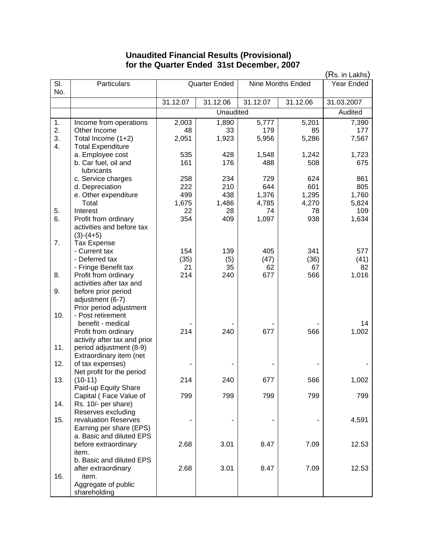## **Unaudited Financial Results (Provisional) for the Quarter Ended 31st December, 2007**

|                  |                                                   | (Rs. in Lakhs)                     |          |            |          |            |
|------------------|---------------------------------------------------|------------------------------------|----------|------------|----------|------------|
| SI.              | Particulars                                       | Nine Months Ended<br>Quarter Ended |          | Year Ended |          |            |
| No.              |                                                   |                                    |          |            |          |            |
|                  |                                                   | 31.12.07                           | 31.12.06 | 31.12.07   | 31.12.06 | 31.03.2007 |
|                  |                                                   | Unaudited                          |          |            |          | Audited    |
| 1.               | Income from operations                            | 2,003                              | 1,890    | 5,777      | 5,201    | 7,390      |
| 2.               | Other Income                                      | 48                                 | 33       | 179        | 85       | 177        |
| 3.               | Total Income (1+2)                                | 2,051                              | 1,923    | 5,956      | 5,286    | 7,567      |
| $\overline{4}$ . | <b>Total Expenditure</b>                          |                                    |          |            |          |            |
|                  | a. Employee cost                                  | 535                                | 428      | 1,548      | 1,242    | 1,723      |
|                  | b. Car fuel, oil and                              | 161                                | 176      | 488        | 508      | 675        |
|                  | lubricants                                        |                                    |          |            |          |            |
|                  | c. Service charges                                | 258                                | 234      | 729        | 624      | 861        |
|                  | d. Depreciation                                   | 222                                | 210      | 644        | 601      | 805        |
|                  | e. Other expenditure                              | 499                                | 438      | 1,376      | 1,295    | 1,760      |
|                  | Total                                             | 1,675                              | 1,486    | 4,785      | 4,270    | 5,824      |
| 5.<br>6.         | Interest                                          | 22                                 | 28       | 74         | 78       | 109        |
|                  | Profit from ordinary<br>activities and before tax | 354                                | 409      | 1,097      | 938      | 1,634      |
|                  | $(3)-(4+5)$                                       |                                    |          |            |          |            |
| 7.               | <b>Tax Expense</b>                                |                                    |          |            |          |            |
|                  | - Current tax                                     | 154                                | 139      | 405        | 341      | 577        |
|                  | - Deferred tax                                    | (35)                               | (5)      | (47)       | (36)     | (41)       |
|                  | - Fringe Benefit tax                              | 21                                 | 35       | 62         | 67       | 82         |
| 8.               | Profit from ordinary                              | 214                                | 240      | 677        | 566      | 1,016      |
|                  | activities after tax and                          |                                    |          |            |          |            |
| 9.               | before prior period                               |                                    |          |            |          |            |
|                  | adjustment (6-7)                                  |                                    |          |            |          |            |
|                  | Prior period adjustment                           |                                    |          |            |          |            |
| 10.              | - Post retirement                                 |                                    |          |            |          |            |
|                  | benefit - medical                                 |                                    |          |            |          | 14         |
|                  | Profit from ordinary                              | 214                                | 240      | 677        | 566      | 1,002      |
|                  | activity after tax and prior                      |                                    |          |            |          |            |
| 11.              | period adjustment (8-9)                           |                                    |          |            |          |            |
|                  | Extraordinary item (net                           |                                    |          |            |          |            |
| 12.              | of tax expenses)<br>Net profit for the period     |                                    |          |            |          |            |
| 13.              | $(10-11)$                                         | 214                                | 240      | 677        | 566      | 1,002      |
|                  | Paid-up Equity Share                              |                                    |          |            |          |            |
|                  | Capital (Face Value of                            | 799                                | 799      | 799        | 799      | 799        |
| 14.              | Rs. 10/- per share)                               |                                    |          |            |          |            |
|                  | Reserves excluding                                |                                    |          |            |          |            |
| 15.              | revaluation Reserves                              |                                    |          |            |          | 4,591      |
|                  | Earning per share (EPS)                           |                                    |          |            |          |            |
|                  | a. Basic and diluted EPS                          |                                    |          |            |          |            |
|                  | before extraordinary                              | 2.68                               | 3.01     | 8.47       | 7.09     | 12.53      |
|                  | item.                                             |                                    |          |            |          |            |
|                  | b. Basic and diluted EPS                          |                                    |          |            |          |            |
|                  | after extraordinary                               | 2.68                               | 3.01     | 8.47       | 7.09     | 12.53      |
| 16.              | item.                                             |                                    |          |            |          |            |
|                  | Aggregate of public                               |                                    |          |            |          |            |
|                  | shareholding                                      |                                    |          |            |          |            |